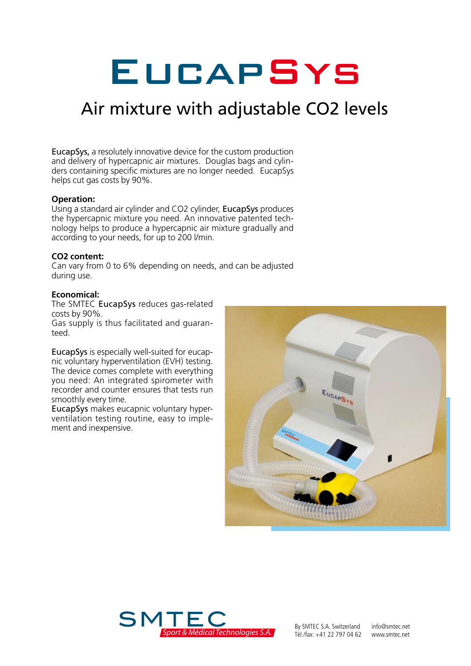# **EUCAPSYS**

## Air mixture with adjustable CO2 levels

EucapSys, a resolutely innovative device for the custom production and delivery of hypercapnic air mixtures. Douglas bags and cylinders containing specific mixtures are no longer needed. EucapSys helps cut gas costs by 90%.

#### **Operation:**

Using a standard air cylinder and CO2 cylinder, EucapSys produces the hypercapnic mixture you need. An innovative patented technology helps to produce a hypercapnic air mixture gradually and according to your needs, for up to 200 l/min.

#### **CO2 content:**

Can vary from 0 to 6% depending on needs, and can be adjusted during use.

#### **Economical:**

The SMTEC EucapSys reduces gas-related costs by 90%.

Gas supply is thus facilitated and guaranteed.

EucapSys is especially well-suited for eucapnic voluntary hyperventilation (EVH) testing. The device comes complete with everything you need: An integrated spirometer with recorder and counter ensures that tests run smoothly every time.

EucapSys makes eucapnic voluntary hyperventilation testing routine, easy to implement and inexpensive.





By SMTEC S.A. Switzerland info@smtec.net<br>Tél./fax: +41 22 797 04 62 www.smtec.net